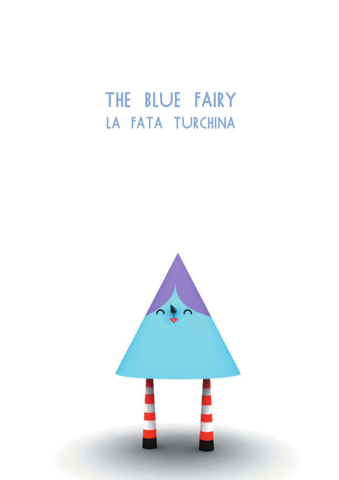# THE BLUE FAIRY LA FATA TURCHINA

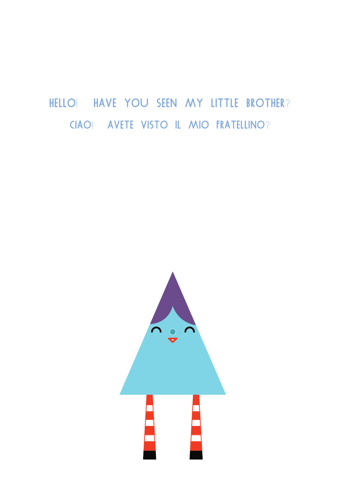#### HELLO! HAVE YOU SEEN MY LITTLE BROTHER? CIAO! AVETE VISTO IL MIO FRATELLINO?

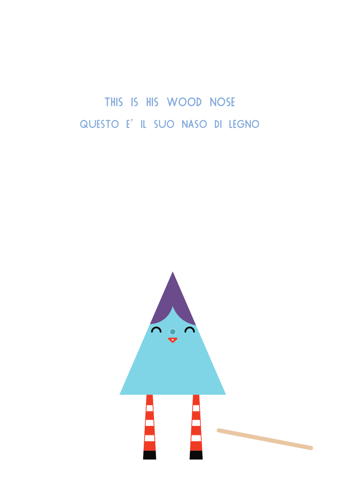THIS IS HIS WOOD NOSE QUESTO E' IL SUO NASO DI LEGNO

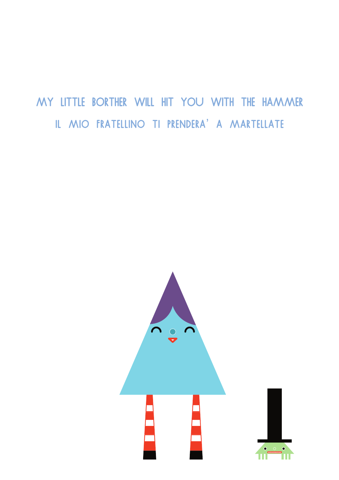### MY LITTLE BORTHER WILL HIT YOU WITH THE HAMMER IL MIO FRATELLINO TI PRENDERA' A MARTELLATE

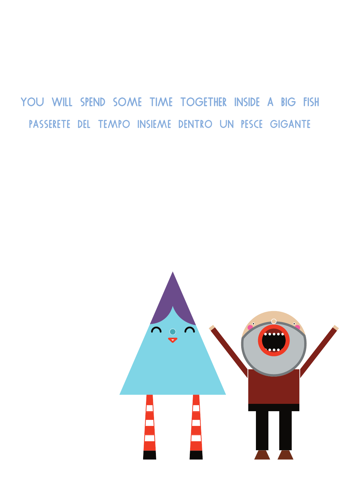YOU WILL SPEND SOME TIME TOGETHER INSIDE A BIG FISH PASSERETE DEL TEMPO INSIEME DENTRO UN PESCE GIGANTE

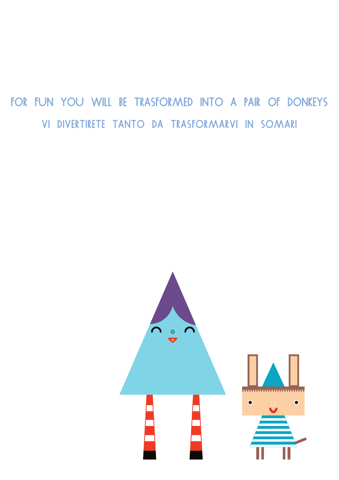# FOR FUN YOU WILL BE TRASFORMED INTO A PAIR OF DONKEYS VI DIVERTIRETE TANTO DA TRASFORMARVI IN SOMARI

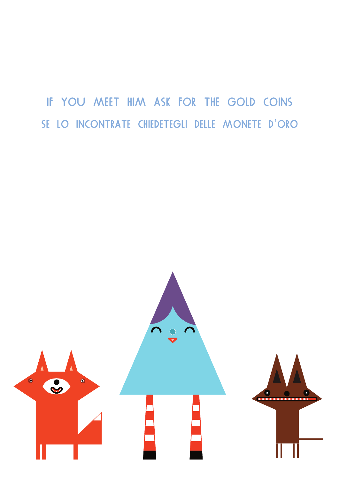## IF YOU MEET HIM ASK FOR THE GOLD COINS SE LO INCONTRATE CHIEDETEGLI DELLE MONETE D'ORO

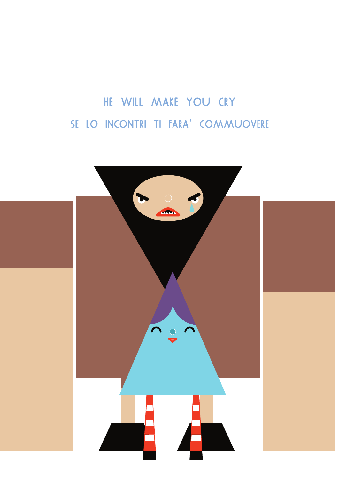# HE WILL MAKE YOU CRY SE LO INCONTRI TI FARA' COMMUOVERE

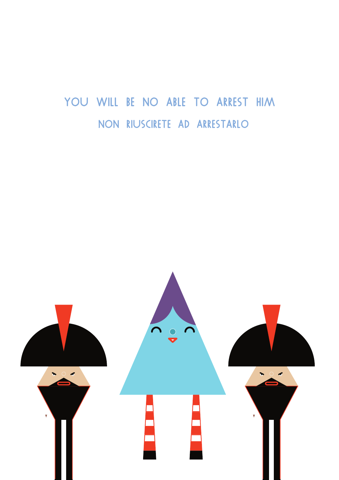### YOU WILL BE NO ABLE TO ARREST HIM NON RIUSCIRETE AD ARRESTARLO

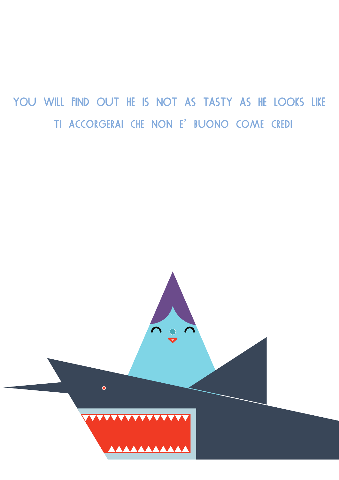YOU WILL FIND OUT HE IS NOT AS TASTY AS HE LOOKS LIKE TI ACCORGERAI CHE NON E' BUONO COME CREDI

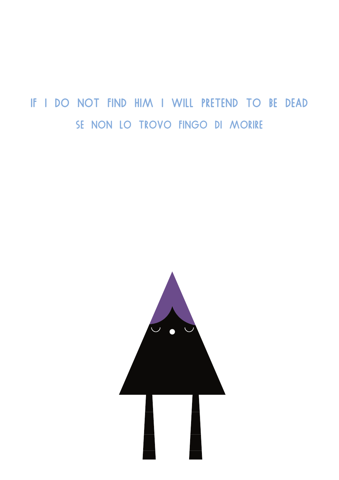IF I DO NOT FIND HIM I WILL PRETEND TO BE DEAD SE NON LO TROVO FINGO DI MORIRE

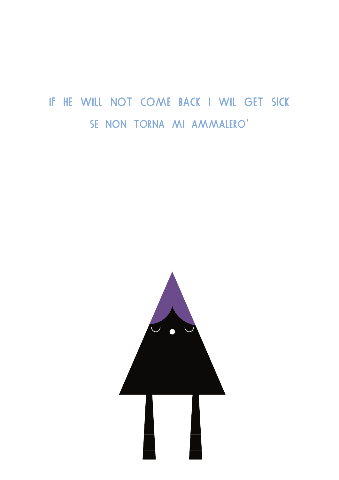### IF HE WILL NOT COME BACK I WIL GET SICK SE NON TORNA MI AMMALERO'

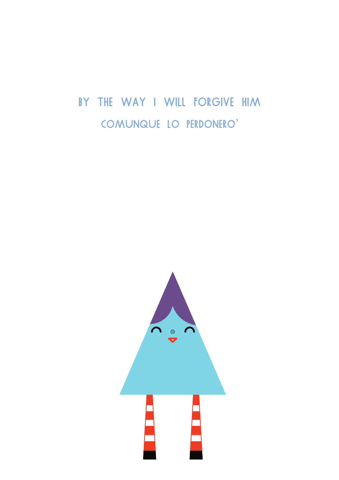### BY THE WAY I WILL FORGIVE HIM COMUNQUE LO PERDONERO'

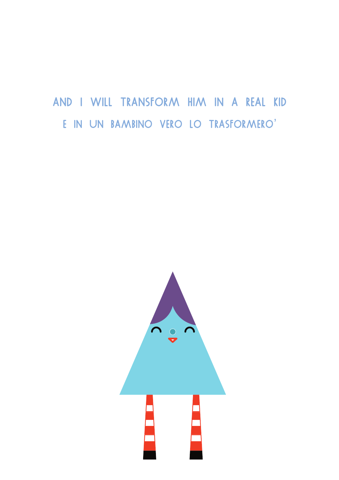#### AND I WILL TRANSFORM HIM IN A REAL KID E IN UN BAMBINO VERO LO TRASFORMERO'